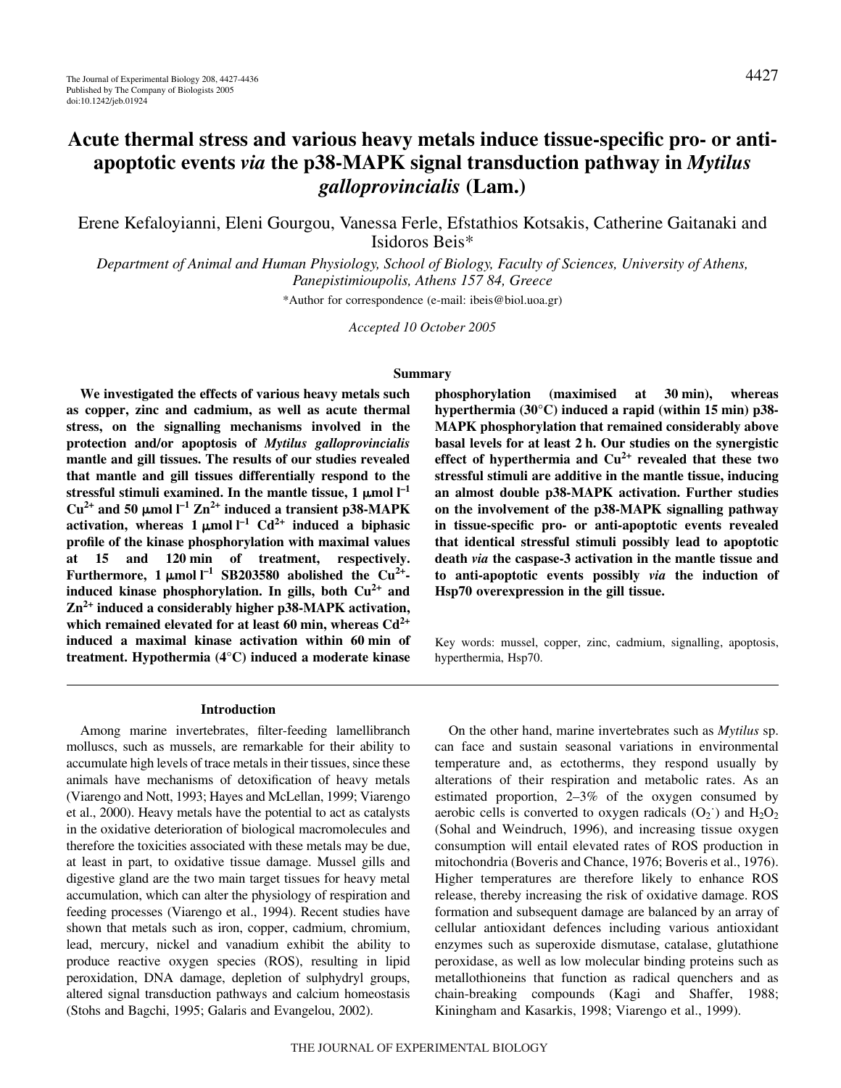# **Acute thermal stress and various heavy metals induce tissue-specific pro- or antiapoptotic events** *via* **the p38-MAPK signal transduction pathway in** *Mytilus galloprovincialis* **(Lam.)**

Erene Kefaloyianni, Eleni Gourgou, Vanessa Ferle, Efstathios Kotsakis, Catherine Gaitanaki and Isidoros Beis\*

*Department of Animal and Human Physiology, School of Biology, Faculty of Sciences, University of Athens, Panepistimioupolis, Athens 157 84, Greece*

\*Author for correspondence (e-mail: ibeis@biol.uoa.gr)

*Accepted 10 October 2005*

#### **Summary**

**We investigated the effects of various heavy metals such as copper, zinc and cadmium, as well as acute thermal stress, on the signalling mechanisms involved in the protection and/or apoptosis of** *Mytilus galloprovincialis* **mantle and gill tissues. The results of our studies revealed that mantle and gill tissues differentially respond to the** stressful stimuli examined. In the mantle tissue,  $1 \mu$ mol  $I^{-1}$  $Cu^{2+}$  and 50  $\mu$ mol  $l^{-1} Zn^{2+}$  induced a transient p38-MAPK activation, whereas  $1 \mu$ mol<sup> $1$ </sup>  $Cd^{2+}$  induced a biphasic **profile of the kinase phosphorylation with maximal values** at 15 and 120 min of treatment, respectively. **Furthermore, 1**  $\mu$ mol  $I^{-1}$  SB203580 abolished the Cu<sup>2+</sup>**induced kinase phosphorylation. In gills, both Cu2+ and Zn2+ induced a considerably higher p38-MAPK activation,** which remained elevated for at least 60 min, whereas  $Cd^{2+}$ induced a maximal kinase activation within 60 min of **treatment. Hypothermia (4°C) induced a moderate kinase** phosphorylation (maximised at 30 min), whereas hyperthermia (30°C) induced a rapid (within 15 min) p38-**MAPK phosphorylation that remained considerably above basal levels for at least 2 h. Our studies on the synergistic effect of hyperthermia and Cu2+ revealed that these two stressful stimuli are additive in the mantle tissue, inducing an almost double p38-MAPK activation. Further studies on the involvement of the p38-MAPK signalling pathway in tissue-specific pro- or anti-apoptotic events revealed that identical stressful stimuli possibly lead to apoptotic death** *via* **the caspase-3 activation in the mantle tissue and to anti-apoptotic events possibly** *via* **the induction of Hsp70 overexpression in the gill tissue.**

Key words: mussel, copper, zinc, cadmium, signalling, apoptosis, hyperthermia, Hsp70.

#### **Introduction**

Among marine invertebrates, filter-feeding lamellibranch molluscs, such as mussels, are remarkable for their ability to accumulate high levels of trace metals in their tissues, since these animals have mechanisms of detoxification of heavy metals (Viarengo and Nott, 1993; Hayes and McLellan, 1999; Viarengo et al., 2000). Heavy metals have the potential to act as catalysts in the oxidative deterioration of biological macromolecules and therefore the toxicities associated with these metals may be due, at least in part, to oxidative tissue damage. Mussel gills and digestive gland are the two main target tissues for heavy metal accumulation, which can alter the physiology of respiration and feeding processes (Viarengo et al., 1994). Recent studies have shown that metals such as iron, copper, cadmium, chromium, lead, mercury, nickel and vanadium exhibit the ability to produce reactive oxygen species (ROS), resulting in lipid peroxidation, DNA damage, depletion of sulphydryl groups, altered signal transduction pathways and calcium homeostasis (Stohs and Bagchi, 1995; Galaris and Evangelou, 2002).

On the other hand, marine invertebrates such as *Mytilus* sp. can face and sustain seasonal variations in environmental temperature and, as ectotherms, they respond usually by alterations of their respiration and metabolic rates. As an estimated proportion, 2–3% of the oxygen consumed by aerobic cells is converted to oxygen radicals  $(O_2$ <sup>o</sup>) and  $H_2O_2$ (Sohal and Weindruch, 1996), and increasing tissue oxygen consumption will entail elevated rates of ROS production in mitochondria (Boveris and Chance, 1976; Boveris et al., 1976). Higher temperatures are therefore likely to enhance ROS release, thereby increasing the risk of oxidative damage. ROS formation and subsequent damage are balanced by an array of cellular antioxidant defences including various antioxidant enzymes such as superoxide dismutase, catalase, glutathione peroxidase, as well as low molecular binding proteins such as metallothioneins that function as radical quenchers and as chain-breaking compounds (Kagi and Shaffer, 1988; Kiningham and Kasarkis, 1998; Viarengo et al., 1999).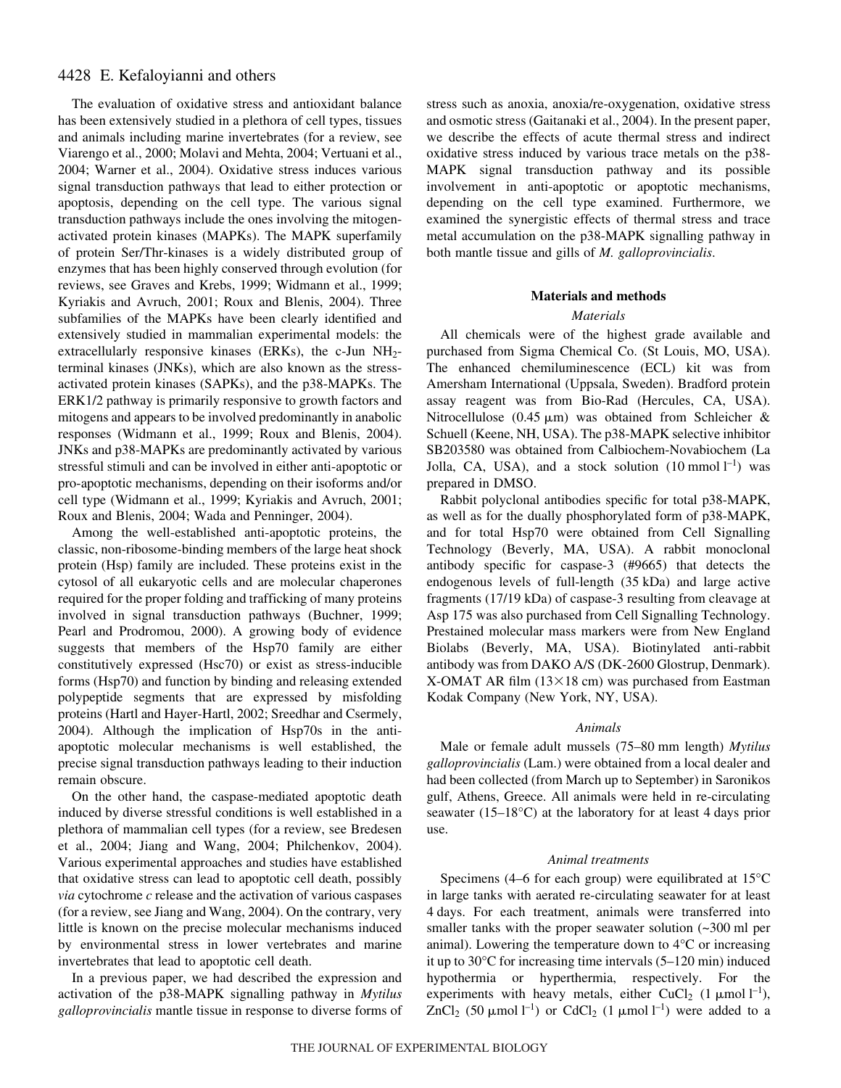# 4428 E. Kefaloyianni and others

The evaluation of oxidative stress and antioxidant balance has been extensively studied in a plethora of cell types, tissues and animals including marine invertebrates (for a review, see Viarengo et al., 2000; Molavi and Mehta, 2004; Vertuani et al., 2004; Warner et al., 2004). Oxidative stress induces various signal transduction pathways that lead to either protection or apoptosis, depending on the cell type. The various signal transduction pathways include the ones involving the mitogenactivated protein kinases (MAPKs). The MAPK superfamily of protein Ser/Thr-kinases is a widely distributed group of enzymes that has been highly conserved through evolution (for reviews, see Graves and Krebs, 1999; Widmann et al., 1999; Kyriakis and Avruch, 2001; Roux and Blenis, 2004). Three subfamilies of the MAPKs have been clearly identified and extensively studied in mammalian experimental models: the extracellularly responsive kinases (ERKs), the c-Jun  $NH<sub>2</sub>$ terminal kinases (JNKs), which are also known as the stressactivated protein kinases (SAPKs), and the p38-MAPKs. The ERK1/2 pathway is primarily responsive to growth factors and mitogens and appears to be involved predominantly in anabolic responses (Widmann et al., 1999; Roux and Blenis, 2004). JNKs and p38-MAPKs are predominantly activated by various stressful stimuli and can be involved in either anti-apoptotic or pro-apoptotic mechanisms, depending on their isoforms and/or cell type (Widmann et al., 1999; Kyriakis and Avruch, 2001; Roux and Blenis, 2004; Wada and Penninger, 2004).

Among the well-established anti-apoptotic proteins, the classic, non-ribosome-binding members of the large heat shock protein (Hsp) family are included. These proteins exist in the cytosol of all eukaryotic cells and are molecular chaperones required for the proper folding and trafficking of many proteins involved in signal transduction pathways (Buchner, 1999; Pearl and Prodromou, 2000). A growing body of evidence suggests that members of the Hsp70 family are either constitutively expressed (Hsc70) or exist as stress-inducible forms (Hsp70) and function by binding and releasing extended polypeptide segments that are expressed by misfolding proteins (Hartl and Hayer-Hartl, 2002; Sreedhar and Csermely, 2004). Although the implication of Hsp70s in the antiapoptotic molecular mechanisms is well established, the precise signal transduction pathways leading to their induction remain obscure.

On the other hand, the caspase-mediated apoptotic death induced by diverse stressful conditions is well established in a plethora of mammalian cell types (for a review, see Bredesen et al., 2004; Jiang and Wang, 2004; Philchenkov, 2004). Various experimental approaches and studies have established that oxidative stress can lead to apoptotic cell death, possibly *via* cytochrome *c* release and the activation of various caspases (for a review, see Jiang and Wang, 2004). On the contrary, very little is known on the precise molecular mechanisms induced by environmental stress in lower vertebrates and marine invertebrates that lead to apoptotic cell death.

In a previous paper, we had described the expression and activation of the p38-MAPK signalling pathway in *Mytilus galloprovincialis* mantle tissue in response to diverse forms of stress such as anoxia, anoxia/re-oxygenation, oxidative stress and osmotic stress (Gaitanaki et al., 2004). In the present paper, we describe the effects of acute thermal stress and indirect oxidative stress induced by various trace metals on the p38- MAPK signal transduction pathway and its possible involvement in anti-apoptotic or apoptotic mechanisms, depending on the cell type examined. Furthermore, we examined the synergistic effects of thermal stress and trace metal accumulation on the p38-MAPK signalling pathway in both mantle tissue and gills of *M. galloprovincialis*.

#### **Materials and methods**

## *Materials*

All chemicals were of the highest grade available and purchased from Sigma Chemical Co. (St Louis, MO, USA). The enhanced chemiluminescence (ECL) kit was from Amersham International (Uppsala, Sweden). Bradford protein assay reagent was from Bio-Rad (Hercules, CA, USA). Nitrocellulose  $(0.45 \mu m)$  was obtained from Schleicher & Schuell (Keene, NH, USA). The p38-MAPK selective inhibitor SB203580 was obtained from Calbiochem-Novabiochem (La Jolla, CA, USA), and a stock solution  $(10 \text{ mmol } l^{-1})$  was prepared in DMSO.

Rabbit polyclonal antibodies specific for total p38-MAPK, as well as for the dually phosphorylated form of p38-MAPK, and for total Hsp70 were obtained from Cell Signalling Technology (Beverly, MA, USA). A rabbit monoclonal antibody specific for caspase-3 (#9665) that detects the endogenous levels of full-length (35·kDa) and large active fragments (17/19 kDa) of caspase-3 resulting from cleavage at Asp 175 was also purchased from Cell Signalling Technology. Prestained molecular mass markers were from New England Biolabs (Beverly, MA, USA). Biotinylated anti-rabbit antibody was from DAKO A/S (DK-2600 Glostrup, Denmark). X-OMAT AR film  $(13\times18$  cm) was purchased from Eastman Kodak Company (New York, NY, USA).

#### *Animals*

Male or female adult mussels (75–80 mm length) *Mytilus galloprovincialis* (Lam.) were obtained from a local dealer and had been collected (from March up to September) in Saronikos gulf, Athens, Greece. All animals were held in re-circulating seawater (15–18 $^{\circ}$ C) at the laboratory for at least 4 days prior use.

#### *Animal treatments*

Specimens (4–6 for each group) were equilibrated at 15°C in large tanks with aerated re-circulating seawater for at least 4 days. For each treatment, animals were transferred into smaller tanks with the proper seawater solution  $\sim 300$  ml per animal). Lowering the temperature down to 4°C or increasing it up to  $30^{\circ}$ C for increasing time intervals  $(5-120 \text{ min})$  induced hypothermia or hyperthermia, respectively. For the experiments with heavy metals, either CuCl<sub>2</sub> (1  $\mu$ mol l<sup>-1</sup>), ZnCl<sub>2</sub> (50  $\mu$ mol l<sup>-1</sup>) or CdCl<sub>2</sub> (1  $\mu$ mol l<sup>-1</sup>) were added to a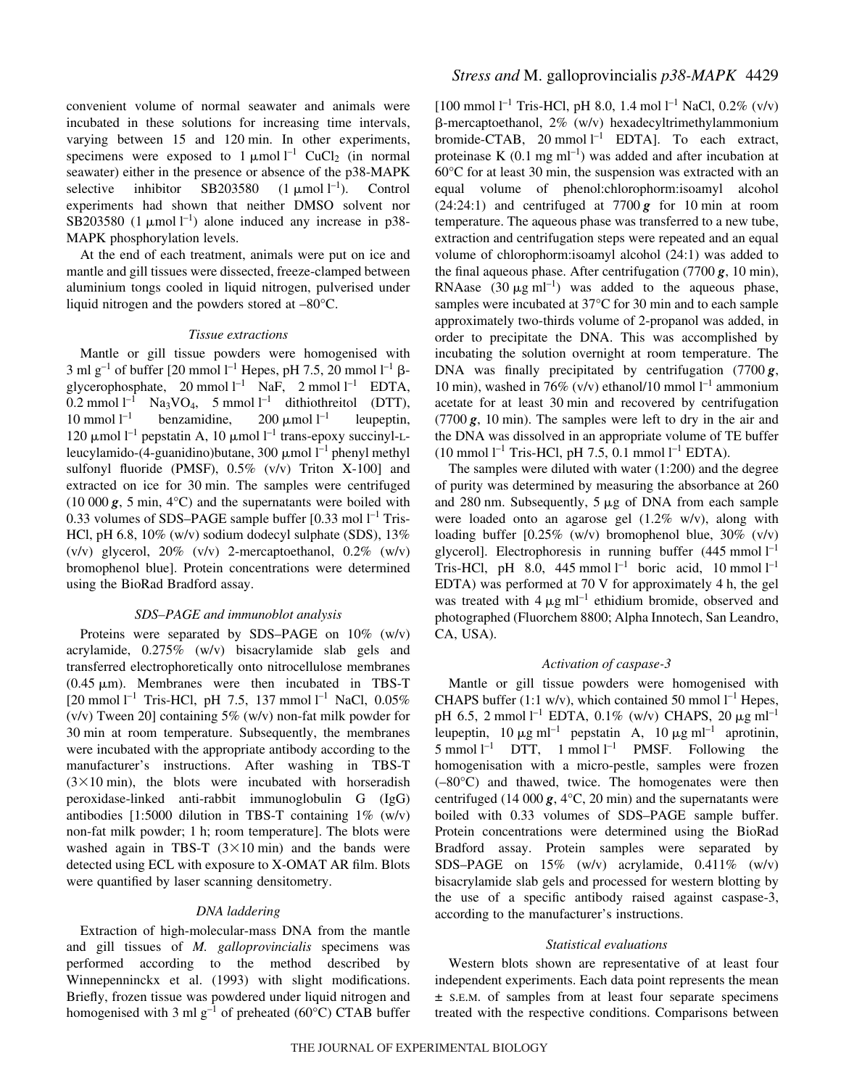convenient volume of normal seawater and animals were incubated in these solutions for increasing time intervals, varying between 15 and 120 min. In other experiments, specimens were exposed to  $1 \mu \text{mol}^{-1}$  CuCl<sub>2</sub> (in normal seawater) either in the presence or absence of the p38-MAPK selective inhibitor SB203580  $(1 \text{ }\mu\text{mol } l^{-1}).$ –1). Control experiments had shown that neither DMSO solvent nor SB203580 (1  $\mu$ mol l<sup>-1</sup>) alone induced any increase in p38-MAPK phosphorylation levels.

At the end of each treatment, animals were put on ice and mantle and gill tissues were dissected, freeze-clamped between aluminium tongs cooled in liquid nitrogen, pulverised under liquid nitrogen and the powders stored at –80°C.

#### *Tissue extractions*

Mantle or gill tissue powders were homogenised with 3 ml g<sup>-1</sup> of buffer [20 mmol  $l^{-1}$  Hepes, pH 7.5, 20 mmol  $l^{-1}$   $\beta$ glycerophosphate,  $20 \text{ mmol } l^{-1}$  NaF,  $2 \text{ mmol } l^{-1}$  EDTA, 0.2 mmol  $l^{-1}$  Na<sub>3</sub>VO<sub>4</sub>, 5 mmol  $l^{-1}$  dithiothreitol (DTT), 10 mmol  $l^{-1}$  benzamidine, 200  $\mu$ mol  $l^{-1}$  leupeptin, 120 μmol  $l<sup>-1</sup>$  pepstatin A, 10 μmol  $l<sup>-1</sup>$  trans-epoxy succinyl-Lleucylamido-(4-guanidino)butane, 300  $\mu$ mol l<sup>-1</sup> phenyl methyl sulfonyl fluoride (PMSF), 0.5% (v/v) Triton X-100] and extracted on ice for 30 min. The samples were centrifuged  $(10~000~\text{g}, 5~\text{min}, 4^{\circ}\text{C})$  and the supernatants were boiled with 0.33 volumes of SDS-PAGE sample buffer  $[0.33 \text{ mol } l^{-1}$  Tris-HCl, pH 6.8, 10% (w/v) sodium dodecyl sulphate (SDS), 13% (v/v) glycerol, 20% (v/v) 2-mercaptoethanol, 0.2% (w/v) bromophenol blue]. Protein concentrations were determined using the BioRad Bradford assay.

#### *SDS–PAGE and immunoblot analysis*

Proteins were separated by SDS–PAGE on 10% (w/v) acrylamide, 0.275% (w/v) bisacrylamide slab gels and transferred electrophoretically onto nitrocellulose membranes  $(0.45 \mu m)$ . Membranes were then incubated in TBS-T  $[20 \text{ mmol } l^{-1}$  Tris-HCl, pH 7.5, 137 mmol  $l^{-1}$  NaCl, 0.05% (v/v) Tween 20] containing 5% (w/v) non-fat milk powder for 30 min at room temperature. Subsequently, the membranes were incubated with the appropriate antibody according to the manufacturer's instructions. After washing in TBS-T  $(3\times10 \text{ min})$ , the blots were incubated with horseradish peroxidase-linked anti-rabbit immunoglobulin G (IgG) antibodies [1:5000 dilution in TBS-T containing 1% (w/v) non-fat milk powder; 1 h; room temperature]. The blots were washed again in TBS-T  $(3\times10 \text{ min})$  and the bands were detected using ECL with exposure to X-OMAT AR film. Blots were quantified by laser scanning densitometry.

#### *DNA laddering*

Extraction of high-molecular-mass DNA from the mantle and gill tissues of *M. galloprovincialis* specimens was performed according to the method described by Winnepenninckx et al. (1993) with slight modifications. Briefly, frozen tissue was powdered under liquid nitrogen and homogenised with 3 ml  $g^{-1}$  of preheated (60°C) CTAB buffer

[100 mmol  $l^{-1}$  Tris-HCl, pH 8.0, 1.4 mol  $l^{-1}$  NaCl, 0.2% (v/v) -mercaptoethanol, 2% (w/v) hexadecyltrimethylammonium bromide-CTAB, 20 mmol  $l^{-1}$  EDTA]. To each extract, proteinase K  $(0.1 \text{ mg ml}^{-1})$  was added and after incubation at  $60^{\circ}$ C for at least 30 min, the suspension was extracted with an equal volume of phenol:chlorophorm:isoamyl alcohol  $(24:24:1)$  and centrifuged at 7700 $\boldsymbol{g}$  for 10 min at room temperature. The aqueous phase was transferred to a new tube, extraction and centrifugation steps were repeated and an equal volume of chlorophorm:isoamyl alcohol (24:1) was added to the final aqueous phase. After centrifugation  $(7700 \text{ g}, 10 \text{ min})$ , RNAase  $(30 \,\mu\text{g m}^{-1})$  was added to the aqueous phase, samples were incubated at  $37^{\circ}$ C for 30 min and to each sample approximately two-thirds volume of 2-propanol was added, in order to precipitate the DNA. This was accomplished by incubating the solution overnight at room temperature. The DNA was finally precipitated by centrifugation  $(7700 g,$ 10 min), washed in 76% (v/v) ethanol/10 mmol  $l^{-1}$  ammonium acetate for at least 30 min and recovered by centrifugation  $(7700\,\text{g}, 10\,\text{min})$ . The samples were left to dry in the air and the DNA was dissolved in an appropriate volume of TE buffer  $(10 \text{ mmol } l^{-1}$  Tris-HCl, pH 7.5, 0.1 mmol  $l^{-1}$  EDTA).

The samples were diluted with water (1:200) and the degree of purity was determined by measuring the absorbance at 260 and 280 nm. Subsequently,  $5 \mu g$  of DNA from each sample were loaded onto an agarose gel (1.2% w/v), along with loading buffer [0.25% (w/v) bromophenol blue, 30% (v/v) glycerol]. Electrophoresis in running buffer  $(445 \text{ mmol } l^{-1})$ Tris-HCl, pH 8.0, 445 mmol  $l^{-1}$  boric acid, 10 mmol  $l^{-1}$ EDTA) was performed at  $70V$  for approximately 4 h, the gel was treated with  $4 \mu g$  ml<sup>-1</sup> ethidium bromide, observed and photographed (Fluorchem 8800; Alpha Innotech, San Leandro, CA, USA).

## *Activation of caspase-3*

Mantle or gill tissue powders were homogenised with CHAPS buffer (1:1 w/v), which contained 50 mmol  $l^{-1}$  Hepes, pH 6.5, 2 mmol  $l^{-1}$  EDTA, 0.1% (w/v) CHAPS, 20  $\mu$ g ml<sup>-1</sup> leupeptin,  $10 \mu g$  ml<sup>-1</sup> pepstatin A,  $10 \mu g$  ml<sup>-1</sup> aprotinin,  $5 \text{ mmol } l^{-1}$  DTT,  $1 \text{ mmol } l^{-1}$  PMSF. Following the homogenisation with a micro-pestle, samples were frozen  $(-80^{\circ}C)$  and thawed, twice. The homogenates were then centrifuged (14 000  $\mathbf{g}$ , 4 $\mathrm{C}$ , 20 min) and the supernatants were boiled with 0.33 volumes of SDS–PAGE sample buffer. Protein concentrations were determined using the BioRad Bradford assay. Protein samples were separated by SDS–PAGE on 15% (w/v) acrylamide, 0.411% (w/v) bisacrylamide slab gels and processed for western blotting by the use of a specific antibody raised against caspase-3, according to the manufacturer's instructions.

## *Statistical evaluations*

Western blots shown are representative of at least four independent experiments. Each data point represents the mean ± S.E.M. of samples from at least four separate specimens treated with the respective conditions. Comparisons between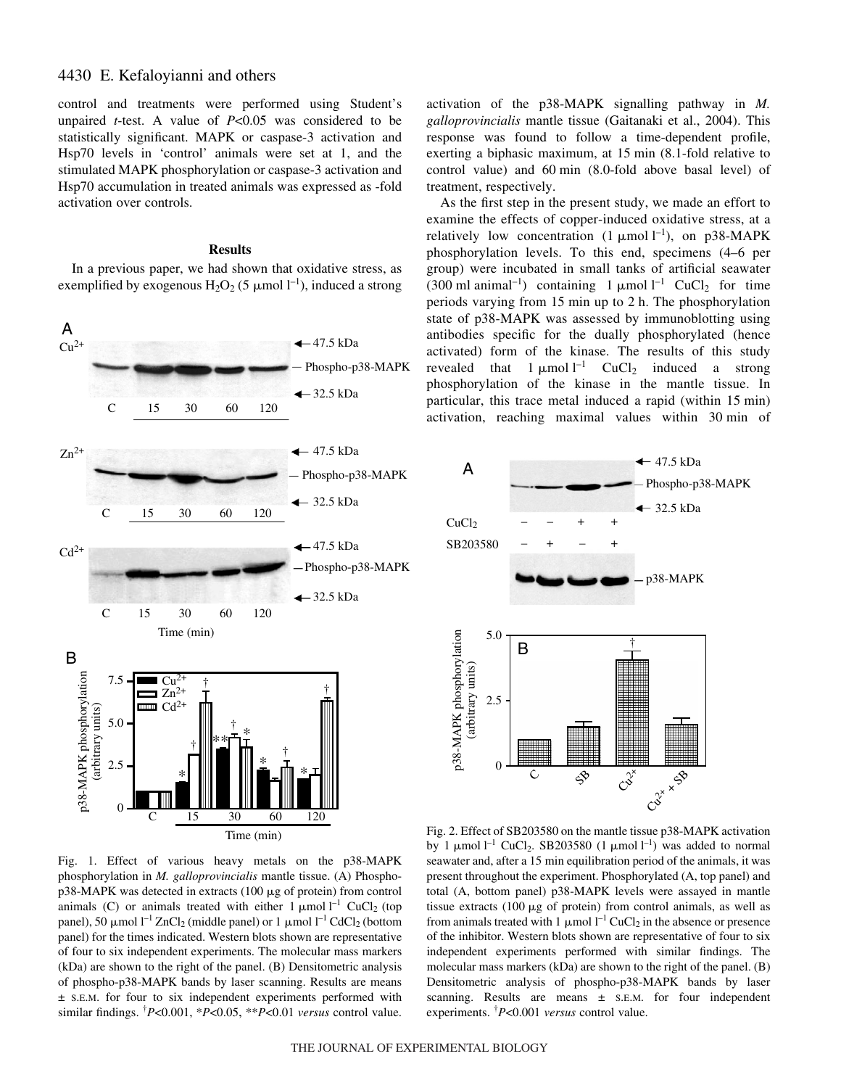# 4430 E. Kefaloyianni and others

control and treatments were performed using Student's unpaired *t*-test. A value of *P*<0.05 was considered to be statistically significant. MAPK or caspase-3 activation and Hsp70 levels in 'control' animals were set at 1, and the stimulated MAPK phosphorylation or caspase-3 activation and Hsp70 accumulation in treated animals was expressed as -fold activation over controls.

## **Results**

In a previous paper, we had shown that oxidative stress, as exemplified by exogenous  $H_2O_2$  (5  $\mu$ mol l<sup>-1</sup>), induced a strong



Fig. 1. Effect of various heavy metals on the p38-MAPK phosphorylation in *M. galloprovincialis* mantle tissue. (A) Phospho $p38-MAPK$  was detected in extracts (100  $\mu$ g of protein) from control animals (C) or animals treated with either  $1 \mu$ mol  $1^{-1}$  CuCl<sub>2</sub> (top panel), 50  $\mu$ mol l<sup>-1</sup> ZnCl<sub>2</sub> (middle panel) or 1  $\mu$ mol l<sup>-1</sup> CdCl<sub>2</sub> (bottom panel) for the times indicated. Western blots shown are representative of four to six independent experiments. The molecular mass markers (kDa) are shown to the right of the panel. (B) Densitometric analysis of phospho-p38-MAPK bands by laser scanning. Results are means ± S.E.M. for four to six independent experiments performed with similar findings. † *P*<0.001, \**P*<0.05, \*\**P*<0.01 *versus* control value.

activation of the p38-MAPK signalling pathway in *M. galloprovincialis* mantle tissue (Gaitanaki et al., 2004). This response was found to follow a time-dependent profile, exerting a biphasic maximum, at 15 min (8.1-fold relative to control value) and 60 min (8.0-fold above basal level) of treatment, respectively.

As the first step in the present study, we made an effort to examine the effects of copper-induced oxidative stress, at a relatively low concentration  $(1 \mu \text{mol} \, 1^{-1})$ , on p38-MAPK phosphorylation levels. To this end, specimens (4–6 per group) were incubated in small tanks of artificial seawater (300 ml animal<sup>-1</sup>) containing 1  $\mu$ mol l<sup>-1</sup> CuCl<sub>2</sub> for time periods varying from  $15$  min up to  $2$  h. The phosphorylation state of p38-MAPK was assessed by immunoblotting using antibodies specific for the dually phosphorylated (hence activated) form of the kinase. The results of this study revealed that  $1 \mu$ mol<sup>1-1</sup> CuCl<sub>2</sub> induced a strong phosphorylation of the kinase in the mantle tissue. In particular, this trace metal induced a rapid (within 15 min) activation, reaching maximal values within 30 min of



Fig. 2. Effect of SB203580 on the mantle tissue p38-MAPK activation by 1  $\mu$ mol l<sup>-1</sup> CuCl<sub>2</sub>. SB203580 (1  $\mu$ mol l<sup>-1</sup>) was added to normal seawater and, after a 15 min equilibration period of the animals, it was present throughout the experiment. Phosphorylated (A, top panel) and total (A, bottom panel) p38-MAPK levels were assayed in mantle tissue extracts  $(100 \mu g)$  of protein) from control animals, as well as from animals treated with 1  $\mu$ mol l<sup>-1</sup> CuCl<sub>2</sub> in the absence or presence of the inhibitor. Western blots shown are representative of four to six independent experiments performed with similar findings. The molecular mass markers (kDa) are shown to the right of the panel. (B) Densitometric analysis of phospho-p38-MAPK bands by laser scanning. Results are means  $\pm$  s.E.M. for four independent experiments. † *P*<0.001 *versus* control value.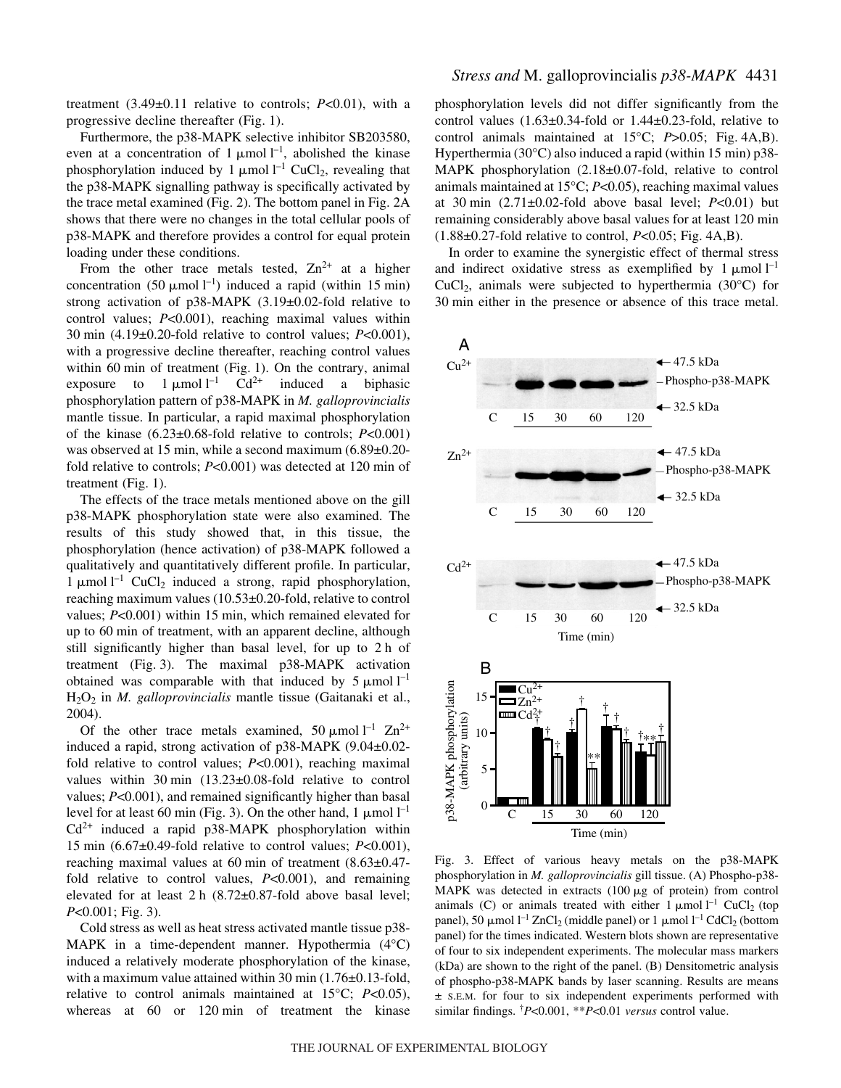treatment  $(3.49\pm0.11$  relative to controls;  $P<0.01$ ), with a progressive decline thereafter  $(Fig. 1)$ .

Furthermore, the p38-MAPK selective inhibitor SB203580, even at a concentration of 1  $\mu$ mol  $l^{-1}$ , abolished the kinase phosphorylation induced by 1  $\mu$ mol l<sup>-1</sup> CuCl<sub>2</sub>, revealing that the p38-MAPK signalling pathway is specifically activated by the trace metal examined (Fig. 2). The bottom panel in Fig.  $2A$ shows that there were no changes in the total cellular pools of p38-MAPK and therefore provides a control for equal protein loading under these conditions.

From the other trace metals tested,  $\text{Zn}^{2+}$  at a higher concentration (50  $\mu$ mol<sup>1-1</sup>) induced a rapid (within 15 min) strong activation of p38-MAPK (3.19±0.02-fold relative to control values; *P*<0.001), reaching maximal values within 30 min  $(4.19\pm0.20\text{-}$  fold relative to control values;  $P<0.001$ ), with a progressive decline thereafter, reaching control values within 60 min of treatment (Fig. 1). On the contrary, animal exposure to 1  $\mu$ mol  $l^{-1}$  $Cd^{2+}$  induced a biphasic phosphorylation pattern of p38-MAPK in *M. galloprovincialis* mantle tissue. In particular, a rapid maximal phosphorylation of the kinase (6.23±0.68-fold relative to controls; *P*<0.001) was observed at 15 min, while a second maximum  $(6.89\pm0.20$ fold relative to controls; *P<*0.001) was detected at 120 min of treatment (Fig. 1).

The effects of the trace metals mentioned above on the gill p38-MAPK phosphorylation state were also examined. The results of this study showed that, in this tissue, the phosphorylation (hence activation) of p38-MAPK followed a qualitatively and quantitatively different profile. In particular, 1  $\mu$ mol l<sup>-1</sup> CuCl<sub>2</sub> induced a strong, rapid phosphorylation, reaching maximum values (10.53±0.20-fold, relative to control values; *P<*0.001) within 15 min, which remained elevated for up to 60 min of treatment, with an apparent decline, although still significantly higher than basal level, for up to 2 h of treatment (Fig. 3). The maximal  $p38-MAPK$  activation obtained was comparable with that induced by  $5 \mu$ mol  $l^{-1}$ H2O2 in *M. galloprovincialis* mantle tissue (Gaitanaki et al., 2004).

Of the other trace metals examined, 50  $\mu$ mol l<sup>-1</sup> Zn<sup>2+</sup> induced a rapid, strong activation of p38-MAPK (9.04±0.02 fold relative to control values; *P*<0.001), reaching maximal values within  $30 \text{ min}$  (13.23 $\pm$ 0.08-fold relative to control values; *P*<0.001), and remained significantly higher than basal level for at least 60 min (Fig. 3). On the other hand, 1  $\mu$ mol l<sup>-1</sup>  $Cd^{2+}$  induced a rapid p38-MAPK phosphorylation within 15 min  $(6.67\pm0.49\text{-}$  fold relative to control values;  $P<0.001$ ), reaching maximal values at 60 min of treatment  $(8.63\pm0.47$ fold relative to control values, *P*<0.001), and remaining elevated for at least  $2 h$  (8.72 $\pm$ 0.87-fold above basal level; *P*<0.001; Fig. 3).

Cold stress as well as heat stress activated mantle tissue p38- MAPK in a time-dependent manner. Hypothermia (4°C) induced a relatively moderate phosphorylation of the kinase, with a maximum value attained within 30 min  $(1.76\pm0.13\text{-}fold,$ relative to control animals maintained at 15°C; *P*<0.05), whereas at 60 or 120 min of treatment the kinase phosphorylation levels did not differ significantly from the control values  $(1.63\pm0.34$ -fold or  $1.44\pm0.23$ -fold, relative to control animals maintained at  $15^{\circ}$ C; *P*>0.05; Fig. 4A,B). Hyperthermia (30 $^{\circ}$ C) also induced a rapid (within 15 min) p38-MAPK phosphorylation (2.18±0.07-fold, relative to control animals maintained at 15°C; *P*<0.05), reaching maximal values at 30 min  $(2.71\pm0.02$ -fold above basal level;  $P<0.01$ ) but remaining considerably above basal values for at least 120 min  $(1.88\pm0.27\text{-}fold$  relative to control,  $P<0.05$ ; Fig. 4A,B).

In order to examine the synergistic effect of thermal stress and indirect oxidative stress as exemplified by  $1 \mu \text{mol}^{-1}$ CuCl<sub>2</sub>, animals were subjected to hyperthermia (30 $^{\circ}$ C) for 30 min either in the presence or absence of this trace metal.



Fig. 3. Effect of various heavy metals on the p38-MAPK phosphorylation in *M. galloprovincialis* gill tissue. (A) Phospho-p38- MAPK was detected in extracts  $(100 \mu g)$  of protein) from control animals (C) or animals treated with either  $1 \mu$ mol  $1^{-1}$  CuCl<sub>2</sub> (top panel), 50  $\mu$ mol l<sup>-1</sup> ZnCl<sub>2</sub> (middle panel) or 1  $\mu$ mol l<sup>-1</sup> CdCl<sub>2</sub> (bottom panel) for the times indicated. Western blots shown are representative of four to six independent experiments. The molecular mass markers (kDa) are shown to the right of the panel. (B) Densitometric analysis of phospho-p38-MAPK bands by laser scanning. Results are means ± S.E.M. for four to six independent experiments performed with similar findings. † *P*<0.001, \*\**P*<0.01 *versus* control value.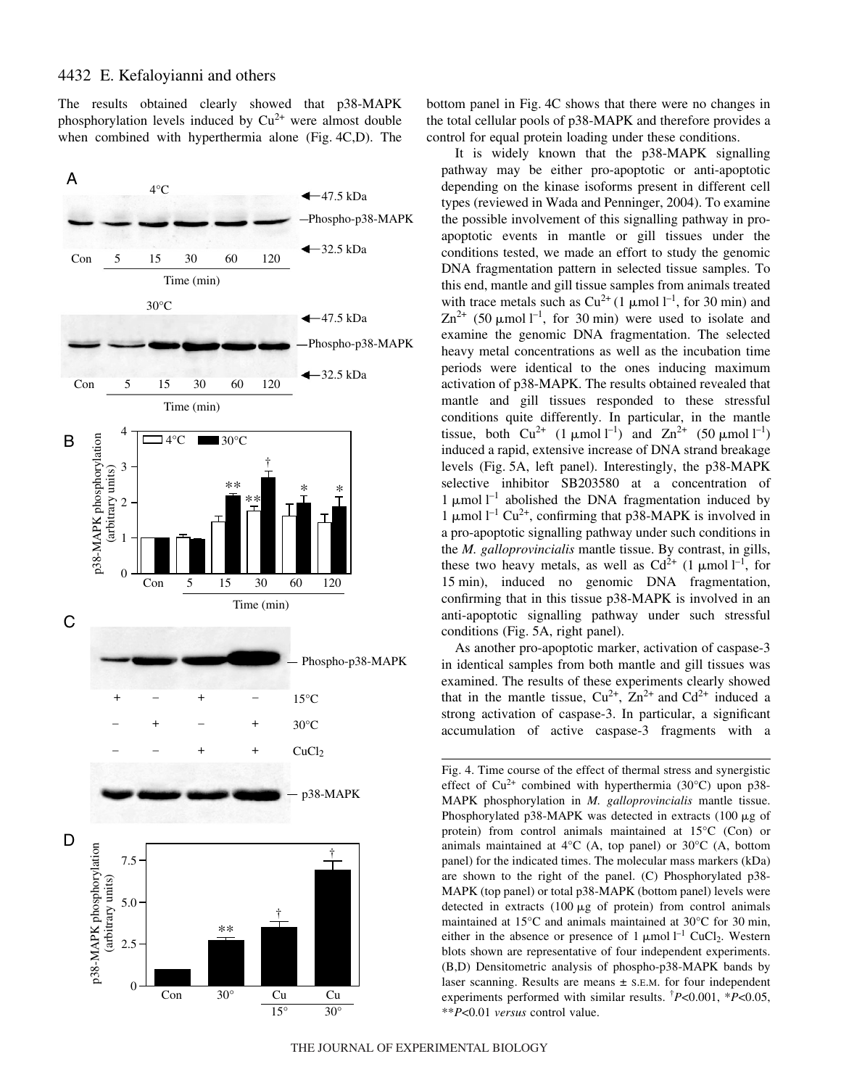The results obtained clearly showed that p38-MAPK phosphorylation levels induced by  $Cu^{2+}$  were almost double when combined with hyperthermia alone (Fig.  $4C$ ,D). The



bottom panel in Fig. 4C shows that there were no changes in the total cellular pools of p38-MAPK and therefore provides a control for equal protein loading under these conditions.

It is widely known that the p38-MAPK signalling pathway may be either pro-apoptotic or anti-apoptotic depending on the kinase isoforms present in different cell types (reviewed in Wada and Penninger, 2004). To examine the possible involvement of this signalling pathway in proapoptotic events in mantle or gill tissues under the conditions tested, we made an effort to study the genomic DNA fragmentation pattern in selected tissue samples. To this end, mantle and gill tissue samples from animals treated with trace metals such as  $Cu^{2+}$  (1 µmol  $l^{-1}$ , for 30 min) and  $\text{Zn}^{2+}$  (50 µmol l<sup>-1</sup>, for 30 min) were used to isolate and examine the genomic DNA fragmentation. The selected heavy metal concentrations as well as the incubation time periods were identical to the ones inducing maximum activation of p38-MAPK. The results obtained revealed that mantle and gill tissues responded to these stressful conditions quite differently. In particular, in the mantle tissue, both  $Cu^{2+}$  (1 µmol l<sup>-1</sup>) and  $Zn^{2+}$  (50 µmol l<sup>-1</sup>) induced a rapid, extensive increase of DNA strand breakage levels (Fig. 5A, left panel). Interestingly, the p38-MAPK selective inhibitor SB203580 at a concentration of 1  $\mu$ mol  $l^{-1}$  abolished the DNA fragmentation induced by 1 µmol  $l^{-1}$  Cu<sup>2+</sup>, confirming that p38-MAPK is involved in a pro-apoptotic signalling pathway under such conditions in the *M. galloprovincialis* mantle tissue. By contrast, in gills, these two heavy metals, as well as  $Cd^{2+}$  (1 µmol  $l^{-1}$ , for 15 min), induced no genomic DNA fragmentation, confirming that in this tissue p38-MAPK is involved in an anti-apoptotic signalling pathway under such stressful conditions (Fig. 5A, right panel).

As another pro-apoptotic marker, activation of caspase-3 in identical samples from both mantle and gill tissues was examined. The results of these experiments clearly showed that in the mantle tissue,  $Cu^{2+}$ ,  $Zn^{2+}$  and  $Cd^{2+}$  induced a strong activation of caspase-3. In particular, a significant accumulation of active caspase-3 fragments with a

Fig. 4. Time course of the effect of thermal stress and synergistic effect of  $Cu^{2+}$  combined with hyperthermia (30 $^{\circ}$ C) upon p38-MAPK phosphorylation in *M. galloprovincialis* mantle tissue. Phosphorylated p38-MAPK was detected in extracts  $(100 \mu g)$  of protein) from control animals maintained at 15°C (Con) or animals maintained at 4°C (A, top panel) or 30°C (A, bottom panel) for the indicated times. The molecular mass markers (kDa) are shown to the right of the panel. (C) Phosphorylated p38- MAPK (top panel) or total p38-MAPK (bottom panel) levels were detected in extracts  $(100 \mu g)$  of protein) from control animals maintained at  $15^{\circ}$ C and animals maintained at  $30^{\circ}$ C for 30 min, either in the absence or presence of  $1 \mu$ mol  $l^{-1}$  CuCl<sub>2</sub>. Western blots shown are representative of four independent experiments. (B,D) Densitometric analysis of phospho-p38-MAPK bands by laser scanning. Results are means  $\pm$  s.E.M. for four independent experiments performed with similar results. † *P*<0.001, \**P*<0.05, \*\**P*<0.01 *versus* control value.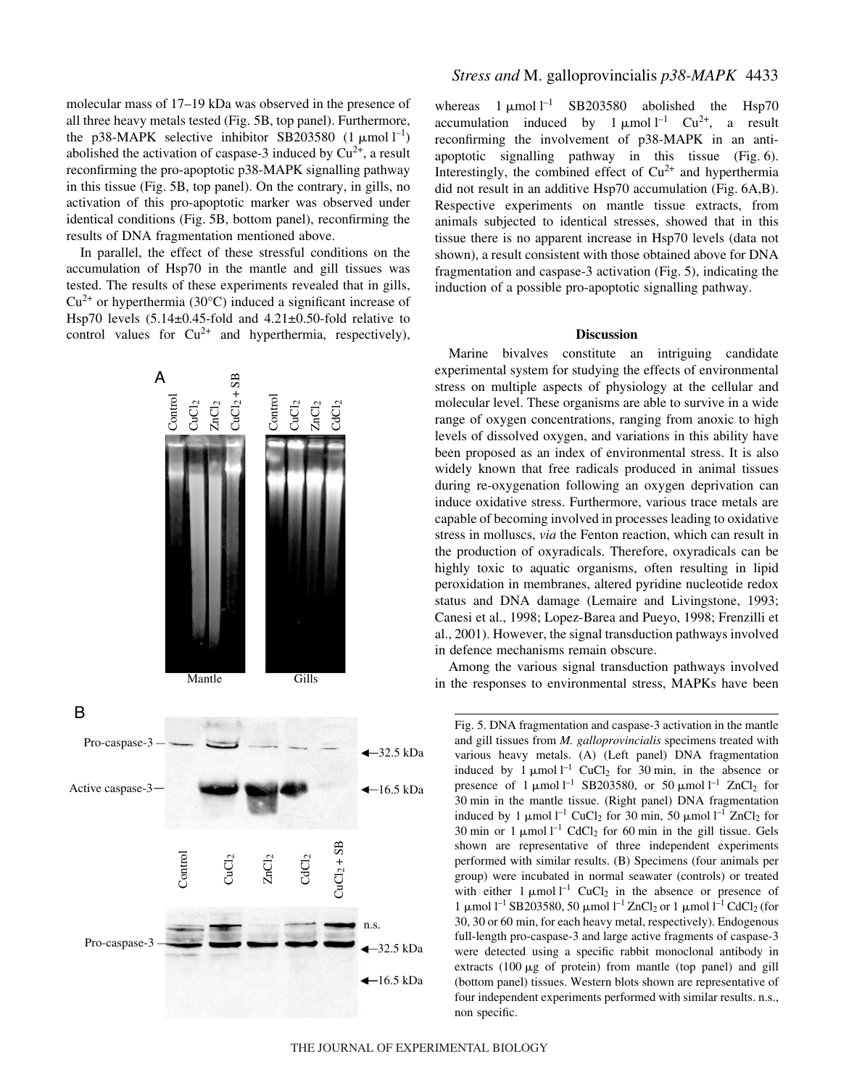molecular mass of 17–19 kDa was observed in the presence of all three heavy metals tested (Fig. 5B, top panel). Furthermore, the p38-MAPK selective inhibitor SB203580  $(1 \mu \text{mol} \, \text{m}^{-1})$ abolished the activation of caspase-3 induced by  $Cu^{2+}$ , a result reconfirming the pro-apoptotic p38-MAPK signalling pathway in this tissue (Fig. 5B, top panel). On the contrary, in gills, no activation of this pro-apoptotic marker was observed under identical conditions (Fig. 5B, bottom panel), reconfirming the results of DNA fragmentation mentioned above.

In parallel, the effect of these stressful conditions on the accumulation of Hsp70 in the mantle and gill tissues was tested. The results of these experiments revealed that in gills,  $Cu^{2+}$  or hyperthermia (30 $^{\circ}$ C) induced a significant increase of Hsp70 levels (5.14±0.45-fold and 4.21±0.50-fold relative to control values for  $Cu^{2+}$  and hyperthermia, respectively),



whereas  $1 \mu$ mol  $1^{-1}$  SB203580 abolished the Hsp70 accumulation induced by  $1 \mu$ mol  $1^{-1}$  Cu<sup>2+</sup>, a result reconfirming the involvement of p38-MAPK in an antiapoptotic signalling pathway in this tissue  $(Fig. 6)$ . Interestingly, the combined effect of  $Cu^{2+}$  and hyperthermia did not result in an additive Hsp70 accumulation (Fig. 6A,B). Respective experiments on mantle tissue extracts, from animals subjected to identical stresses, showed that in this tissue there is no apparent increase in Hsp70 levels (data not shown), a result consistent with those obtained above for DNA fragmentation and caspase-3 activation (Fig. 5), indicating the induction of a possible pro-apoptotic signalling pathway.

## **Discussion**

Marine bivalves constitute an intriguing candidate experimental system for studying the effects of environmental stress on multiple aspects of physiology at the cellular and molecular level. These organisms are able to survive in a wide range of oxygen concentrations, ranging from anoxic to high levels of dissolved oxygen, and variations in this ability have been proposed as an index of environmental stress. It is also widely known that free radicals produced in animal tissues during re-oxygenation following an oxygen deprivation can induce oxidative stress. Furthermore, various trace metals are capable of becoming involved in processes leading to oxidative stress in molluscs, *via* the Fenton reaction, which can result in the production of oxyradicals. Therefore, oxyradicals can be highly toxic to aquatic organisms, often resulting in lipid peroxidation in membranes, altered pyridine nucleotide redox status and DNA damage (Lemaire and Livingstone, 1993; Canesi et al., 1998; Lopez-Barea and Pueyo, 1998; Frenzilli et al., 2001). However, the signal transduction pathways involved in defence mechanisms remain obscure.

Among the various signal transduction pathways involved in the responses to environmental stress, MAPKs have been

Fig. 5. DNA fragmentation and caspase-3 activation in the mantle and gill tissues from *M. galloprovincialis* specimens treated with various heavy metals. (A) (Left panel) DNA fragmentation induced by 1  $\mu$ mol l<sup>-1</sup> CuCl<sub>2</sub> for 30 min, in the absence or presence of  $1 \mu$ mol<sup>-1</sup> SB203580, or 50  $\mu$ mol<sup>-1</sup> ZnCl<sub>2</sub> for 30 min in the mantle tissue. (Right panel) DNA fragmentation induced by 1  $\mu$ mol l<sup>-1</sup> CuCl<sub>2</sub> for 30 min, 50  $\mu$ mol l<sup>-1</sup> ZnCl<sub>2</sub> for 30 min or 1  $\mu$ mol l<sup>-1</sup> CdCl<sub>2</sub> for 60 min in the gill tissue. Gels shown are representative of three independent experiments performed with similar results. (B) Specimens (four animals per group) were incubated in normal seawater (controls) or treated with either  $1 \mu$ mol<sup>-1</sup> CuCl<sub>2</sub> in the absence or presence of  $1 \mu$ mol l<sup>-1</sup> SB203580, 50 μmol l<sup>-1</sup> ZnCl<sub>2</sub> or 1 μmol l<sup>-1</sup> CdCl<sub>2</sub> (for 30, 30 or 60 min, for each heavy metal, respectively). Endogenous full-length pro-caspase-3 and large active fragments of caspase-3 were detected using a specific rabbit monoclonal antibody in extracts  $(100 \mu g)$  of protein) from mantle (top panel) and gill (bottom panel) tissues. Western blots shown are representative of four independent experiments performed with similar results. n.s., non specific.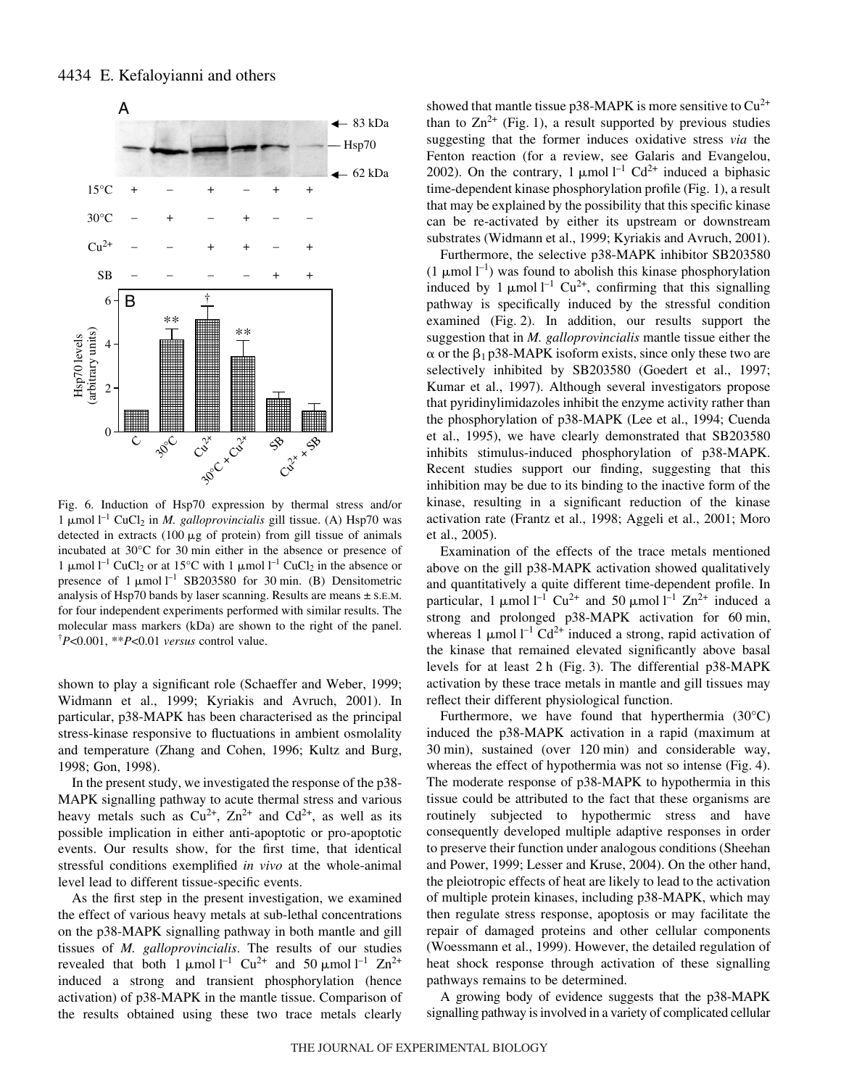

Fig. 6. Induction of Hsp70 expression by thermal stress and/or 1  $\mu$ mol l<sup>-1</sup> CuCl<sub>2</sub> in *M. galloprovincialis* gill tissue. (A) Hsp70 was detected in extracts  $(100 \mu g)$  of protein) from gill tissue of animals incubated at  $30^{\circ}$ C for  $30$  min either in the absence or presence of 1 µmol  $l^{-1}$  CuCl<sub>2</sub> or at 15°C with 1 µmol  $l^{-1}$  CuCl<sub>2</sub> in the absence or presence of  $1 \mu$ mol<sup>-1</sup> SB203580 for 30 min. (B) Densitometric analysis of Hsp70 bands by laser scanning. Results are means  $\pm$  s.E.M. for four independent experiments performed with similar results. The molecular mass markers (kDa) are shown to the right of the panel. † *P*<0.001, \*\**P*<0.01 *versus* control value.

shown to play a significant role (Schaeffer and Weber, 1999; Widmann et al., 1999; Kyriakis and Avruch, 2001). In particular, p38-MAPK has been characterised as the principal stress-kinase responsive to fluctuations in ambient osmolality and temperature (Zhang and Cohen, 1996; Kultz and Burg, 1998; Gon, 1998).

In the present study, we investigated the response of the p38- MAPK signalling pathway to acute thermal stress and various heavy metals such as  $Cu^{2+}$ ,  $Zn^{2+}$  and  $Cd^{2+}$ , as well as its possible implication in either anti-apoptotic or pro-apoptotic events. Our results show, for the first time, that identical stressful conditions exemplified *in vivo* at the whole-animal level lead to different tissue-specific events.

As the first step in the present investigation, we examined the effect of various heavy metals at sub-lethal concentrations on the p38-MAPK signalling pathway in both mantle and gill tissues of *M. galloprovincialis*. The results of our studies revealed that both 1  $\mu$ mol l<sup>-1</sup> Cu<sup>2+</sup> and 50  $\mu$ mol l<sup>-1</sup> Zn<sup>2+</sup> induced a strong and transient phosphorylation (hence activation) of p38-MAPK in the mantle tissue. Comparison of the results obtained using these two trace metals clearly

showed that mantle tissue  $p38-MAPK$  is more sensitive to  $Cu^{2+}$ than to  $\text{Zn}^{2+}$  (Fig. 1), a result supported by previous studies suggesting that the former induces oxidative stress *via* the Fenton reaction (for a review, see Galaris and Evangelou, 2002). On the contrary, 1  $\mu$ mol l<sup>-1</sup> Cd<sup>2+</sup> induced a biphasic time-dependent kinase phosphorylation profile (Fig. 1), a result that may be explained by the possibility that this specific kinase can be re-activated by either its upstream or downstream substrates (Widmann et al., 1999; Kyriakis and Avruch, 2001).

Furthermore, the selective p38-MAPK inhibitor SB203580 (1  $\mu$ mol l<sup>-1</sup>) was found to abolish this kinase phosphorylation induced by 1  $\mu$ mol l<sup>-1</sup> Cu<sup>2+</sup>, confirming that this signalling pathway is specifically induced by the stressful condition examined (Fig. 2). In addition, our results support the suggestion that in *M. galloprovincialis* mantle tissue either the  $\alpha$  or the  $\beta_1$  p38-MAPK isoform exists, since only these two are selectively inhibited by SB203580 (Goedert et al., 1997; Kumar et al., 1997). Although several investigators propose that pyridinylimidazoles inhibit the enzyme activity rather than the phosphorylation of p38-MAPK (Lee et al., 1994; Cuenda et al., 1995), we have clearly demonstrated that SB203580 inhibits stimulus-induced phosphorylation of p38-MAPK. Recent studies support our finding, suggesting that this inhibition may be due to its binding to the inactive form of the kinase, resulting in a significant reduction of the kinase activation rate (Frantz et al., 1998; Aggeli et al., 2001; Moro et al., 2005).

Examination of the effects of the trace metals mentioned above on the gill p38-MAPK activation showed qualitatively and quantitatively a quite different time-dependent profile. In particular, 1  $\mu$ mol l<sup>-1</sup> Cu<sup>2+</sup> and 50  $\mu$ mol l<sup>-1</sup> Zn<sup>2+</sup> induced a strong and prolonged p38-MAPK activation for 60 min, whereas 1  $\mu$ mol l<sup>-1</sup> Cd<sup>2+</sup> induced a strong, rapid activation of the kinase that remained elevated significantly above basal levels for at least  $2 h$  (Fig. 3). The differential  $p38-MAPK$ activation by these trace metals in mantle and gill tissues may reflect their different physiological function.

Furthermore, we have found that hyperthermia (30°C) induced the p38-MAPK activation in a rapid (maximum at  $30 \text{ min}$ , sustained (over  $120 \text{ min}$ ) and considerable way, whereas the effect of hypothermia was not so intense (Fig. 4). The moderate response of p38-MAPK to hypothermia in this tissue could be attributed to the fact that these organisms are routinely subjected to hypothermic stress and have consequently developed multiple adaptive responses in order to preserve their function under analogous conditions (Sheehan and Power, 1999; Lesser and Kruse, 2004). On the other hand, the pleiotropic effects of heat are likely to lead to the activation of multiple protein kinases, including p38-MAPK, which may then regulate stress response, apoptosis or may facilitate the repair of damaged proteins and other cellular components (Woessmann et al., 1999). However, the detailed regulation of heat shock response through activation of these signalling pathways remains to be determined.

A growing body of evidence suggests that the p38-MAPK signalling pathway is involved in a variety of complicated cellular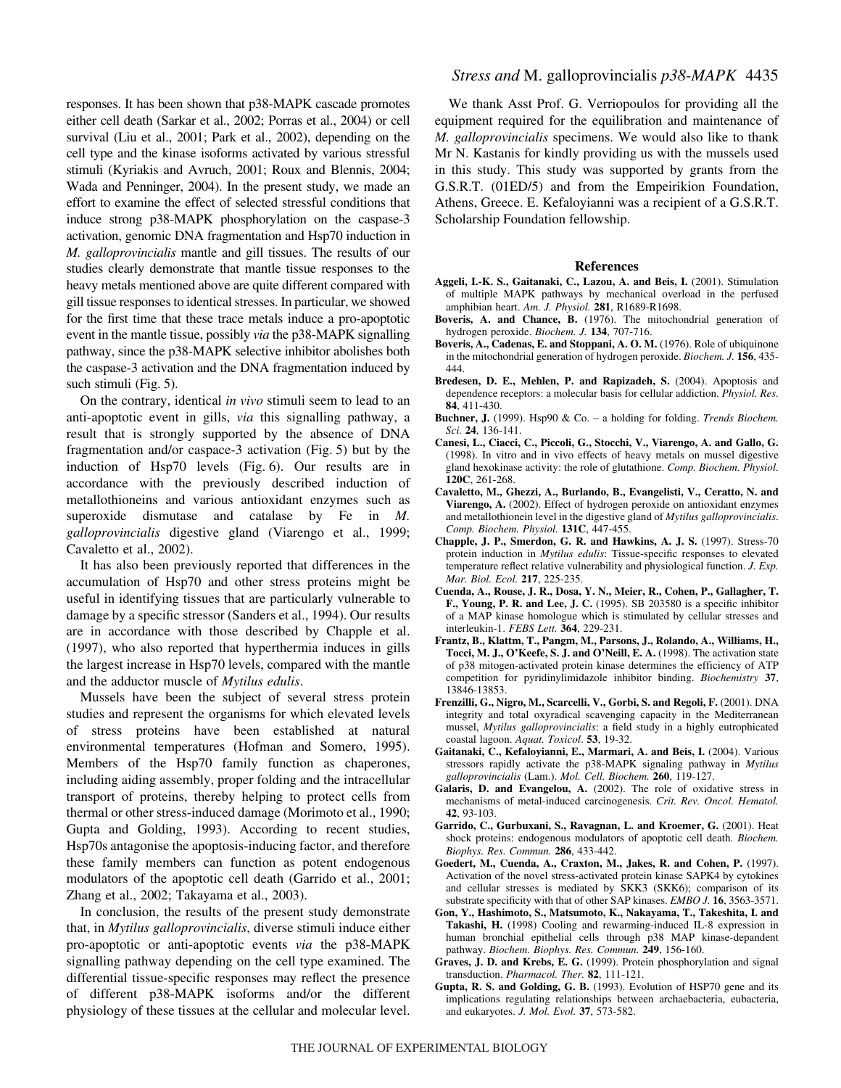responses. It has been shown that p38-MAPK cascade promotes either cell death (Sarkar et al., 2002; Porras et al., 2004) or cell survival (Liu et al., 2001; Park et al., 2002), depending on the cell type and the kinase isoforms activated by various stressful stimuli (Kyriakis and Avruch, 2001; Roux and Blennis, 2004; Wada and Penninger, 2004). In the present study, we made an effort to examine the effect of selected stressful conditions that induce strong p38-MAPK phosphorylation on the caspase-3 activation, genomic DNA fragmentation and Hsp70 induction in *M. galloprovincialis* mantle and gill tissues. The results of our studies clearly demonstrate that mantle tissue responses to the heavy metals mentioned above are quite different compared with gill tissue responses to identical stresses. In particular, we showed for the first time that these trace metals induce a pro-apoptotic event in the mantle tissue, possibly *via* the p38-MAPK signalling pathway, since the p38-MAPK selective inhibitor abolishes both the caspase-3 activation and the DNA fragmentation induced by such stimuli (Fig.  $5$ ).

On the contrary, identical *in vivo* stimuli seem to lead to an anti-apoptotic event in gills, *via* this signalling pathway, a result that is strongly supported by the absence of DNA fragmentation and/or caspace-3 activation (Fig. 5) but by the induction of Hsp70 levels (Fig.  $6$ ). Our results are in accordance with the previously described induction of metallothioneins and various antioxidant enzymes such as superoxide dismutase and catalase by Fe in *M. galloprovincialis* digestive gland (Viarengo et al., 1999; Cavaletto et al., 2002).

It has also been previously reported that differences in the accumulation of Hsp70 and other stress proteins might be useful in identifying tissues that are particularly vulnerable to damage by a specific stressor (Sanders et al., 1994). Our results are in accordance with those described by Chapple et al. (1997), who also reported that hyperthermia induces in gills the largest increase in Hsp70 levels, compared with the mantle and the adductor muscle of *Mytilus edulis*.

Mussels have been the subject of several stress protein studies and represent the organisms for which elevated levels of stress proteins have been established at natural environmental temperatures (Hofman and Somero, 1995). Members of the Hsp70 family function as chaperones, including aiding assembly, proper folding and the intracellular transport of proteins, thereby helping to protect cells from thermal or other stress-induced damage (Morimoto et al., 1990; Gupta and Golding, 1993). According to recent studies, Hsp70s antagonise the apoptosis-inducing factor, and therefore these family members can function as potent endogenous modulators of the apoptotic cell death (Garrido et al., 2001; Zhang et al., 2002; Takayama et al., 2003).

In conclusion, the results of the present study demonstrate that, in *Mytilus galloprovincialis*, diverse stimuli induce either pro-apoptotic or anti-apoptotic events *via* the p38-MAPK signalling pathway depending on the cell type examined. The differential tissue-specific responses may reflect the presence of different p38-MAPK isoforms and/or the different physiology of these tissues at the cellular and molecular level.

# *Stress and* M. galloprovincialis *p38-MAPK* 4435

We thank Asst Prof. G. Verriopoulos for providing all the equipment required for the equilibration and maintenance of *M. galloprovincialis* specimens. We would also like to thank Mr N. Kastanis for kindly providing us with the mussels used in this study. This study was supported by grants from the G.S.R.T. (01ED/5) and from the Empeirikion Foundation, Athens, Greece. E. Kefaloyianni was a recipient of a G.S.R.T. Scholarship Foundation fellowship.

#### **References**

- **Aggeli, I.-K. S., Gaitanaki, C., Lazou, A. and Beis, I.** (2001). Stimulation of multiple MAPK pathways by mechanical overload in the perfused amphibian heart. *Am. J. Physiol.* **281**, R1689-R1698.
- **Boveris, A. and Chance, B.** (1976). The mitochondrial generation of hydrogen peroxide. *Biochem. J.* **134**, 707-716.
- **Boveris, A., Cadenas, E. and Stoppani, A. O. M.** (1976). Role of ubiquinone in the mitochondrial generation of hydrogen peroxide. *Biochem. J.* **156**, 435- 444.
- **Bredesen, D. E., Mehlen, P. and Rapizadeh, S.** (2004). Apoptosis and dependence receptors: a molecular basis for cellular addiction. *Physiol. Res*. **84**, 411-430.
- **Buchner, J.** (1999). Hsp90 & Co. a holding for folding. *Trends Biochem. Sci.* **24**, 136-141.
- **Canesi, L., Ciacci, C., Piccoli, G., Stocchi, V., Viarengo, A. and Gallo, G.** (1998). In vitro and in vivo effects of heavy metals on mussel digestive gland hexokinase activity: the role of glutathione. *Comp. Biochem. Physiol*. **120C**, 261-268.
- **Cavaletto, M., Ghezzi, A., Burlando, B., Evangelisti, V., Ceratto, N. and Viarengo, A.** (2002). Effect of hydrogen peroxide on antioxidant enzymes and metallothionein level in the digestive gland of *Mytilus galloprovincialis*. *Comp. Biochem. Physiol.* **131C**, 447-455.
- **Chapple, J. P., Smerdon, G. R. and Hawkins, A. J. S.** (1997). Stress-70 protein induction in *Mytilus edulis*: Tissue-specific responses to elevated temperature reflect relative vulnerability and physiological function. *J. Exp. Mar. Biol. Ecol.* **217**, 225-235.
- **Cuenda, A., Rouse, J. R., Dosa, Y. N., Meier, R., Cohen, P., Gallagher, T. F., Young, P. R. and Lee, J. C.** (1995). SB 203580 is a specific inhibitor of a MAP kinase homologue which is stimulated by cellular stresses and interleukin-1. *FEBS Lett.* **364**, 229-231.
- **Frantz, B., Klattm, T., Pangm, M., Parsons, J., Rolando, A., Williams, H., Tocci, M. J., O'Keefe, S. J. and O'Neill, E. A.** (1998). The activation state of p38 mitogen-activated protein kinase determines the efficiency of ATP competition for pyridinylimidazole inhibitor binding. *Biochemistry* **37**, 13846-13853.
- **Frenzilli, G., Nigro, M., Scarcelli, V., Gorbi, S. and Regoli, F.** (2001). DNA integrity and total oxyradical scavenging capacity in the Mediterranean mussel, *Mytilus galloprovincialis*: a field study in a highly eutrophicated coastal lagoon. *Aquat. Toxicol*. **53**, 19-32.
- **Gaitanaki, C., Kefaloyianni, E., Marmari, A. and Beis, I.** (2004). Various stressors rapidly activate the p38-MAPK signaling pathway in *Mytilus galloprovincialis* (Lam.). *Mol. Cell. Biochem.* **260**, 119-127.
- **Galaris, D. and Evangelou, A.** (2002). The role of oxidative stress in mechanisms of metal-induced carcinogenesis. *Crit. Rev. Oncol. Hematol.* **42**, 93-103.
- **Garrido, C., Gurbuxani, S., Ravagnan, L. and Kroemer, G.** (2001). Heat shock proteins: endogenous modulators of apoptotic cell death. *Biochem. Biophys. Res. Commun.* **286**, 433-442.
- **Goedert, M., Cuenda, A., Craxton, M., Jakes, R. and Cohen, P.** (1997). Activation of the novel stress-activated protein kinase SAPK4 by cytokines and cellular stresses is mediated by SKK3 (SKK6); comparison of its substrate specificity with that of other SAP kinases. *EMBO J.* **16**, 3563-3571.
- **Gon, Y., Hashimoto, S., Matsumoto, K., Nakayama, T., Takeshita, I. and Takashi, H.** (1998) Cooling and rewarming-induced IL-8 expression in human bronchial epithelial cells through p38 MAP kinase-depandent pathway. *Biochem. Biophys. Res. Commun.* **249**, 156-160.
- **Graves, J. D. and Krebs, E. G.** (1999). Protein phosphorylation and signal transduction. *Pharmacol. Ther.* **82**, 111-121.
- **Gupta, R. S. and Golding, G. B.** (1993). Evolution of HSP70 gene and its implications regulating relationships between archaebacteria, eubacteria, and eukaryotes. *J. Mol. Evol.* **37**, 573-582.